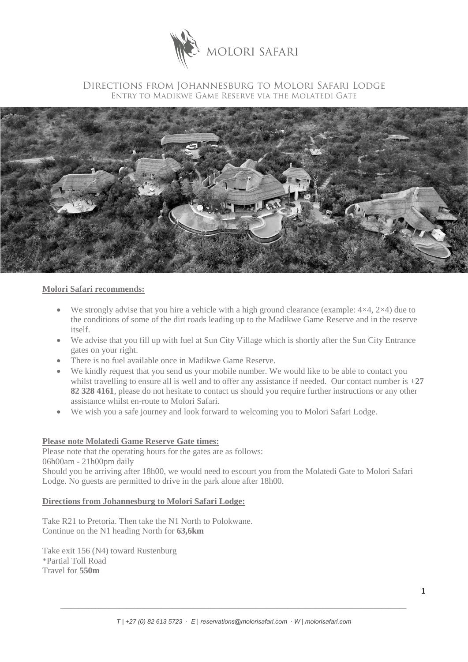

## Directions from Johannesburg to Molori Safari Lodge Entry to Madikwe Game Reserve via the Molatedi Gate



## **Molori Safari recommends:**

- We strongly advise that you hire a vehicle with a high ground clearance (example:  $4\times4$ ,  $2\times4$ ) due to the conditions of some of the dirt roads leading up to the Madikwe Game Reserve and in the reserve itself.
- We advise that you fill up with fuel at Sun City Village which is shortly after the Sun City Entrance gates on your right.
- There is no fuel available once in Madikwe Game Reserve.
- We kindly request that you send us your mobile number. We would like to be able to contact you whilst travelling to ensure all is well and to offer any assistance if needed. Our contact number is +**27 82 328 4161**, please do not hesitate to contact us should you require further instructions or any other assistance whilst en-route to Molori Safari.
- We wish you a safe journey and look forward to welcoming you to Molori Safari Lodge.

## **Please note Molatedi Game Reserve Gate times:**

Please note that the operating hours for the gates are as follows: 06h00am - 21h00pm daily

Should you be arriving after 18h00, we would need to escourt you from the Molatedi Gate to Molori Safari Lodge. No guests are permitted to drive in the park alone after 18h00.

## **Directions from Johannesburg to Molori Safari Lodge:**

Take R21 to Pretoria. Then take the N1 North to Polokwane. Continue on the N1 heading North for **63,6km**

Take exit 156 (N4) toward Rustenburg \*Partial Toll Road Travel for **550m**